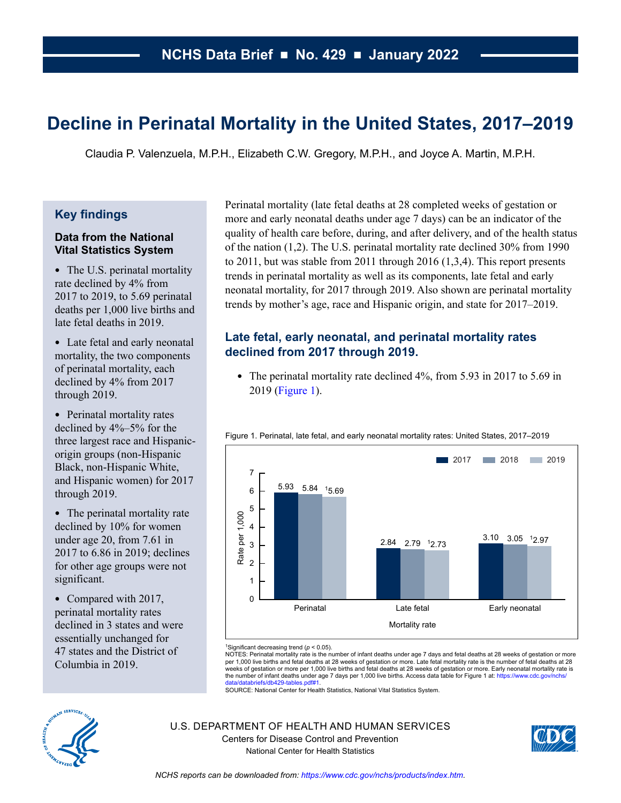# **Decline in Perinatal Mortality in the United States, 2017–2019**

Claudia P. Valenzuela, M.P.H., Elizabeth C.W. Gregory, M.P.H., and Joyce A. Martin, M.P.H.

### **Key findings**

### **Data from the National Vital Statistics System**

- The U.S. perinatal mortality rate declined by 4% from 2017 to 2019, to 5.69 perinatal deaths per 1,000 live births and late fetal deaths in 2019.
- Late fetal and early neonatal mortality, the two components of perinatal mortality, each declined by 4% from 2017 through 2019.
- Perinatal mortality rates declined by 4%–5% for the three largest race and Hispanicorigin groups (non-Hispanic Black, non-Hispanic White, and Hispanic women) for 2017 through 2019.
- The perinatal mortality rate declined by 10% for women under age 20, from 7.61 in 2017 to 6.86 in 2019; declines for other age groups were not significant.
- Compared with 2017, perinatal mortality rates declined in 3 states and were essentially unchanged for 47 states and the District of Columbia in 2019.

Perinatal mortality (late fetal deaths at 28 completed weeks of gestation or more and early neonatal deaths under age 7 days) can be an indicator of the quality of health care before, during, and after delivery, and of the health status of the nation (1,2). The U.S. perinatal mortality rate declined 30% from 1990 to 2011, but was stable from 2011 through 2016 (1,3,4). This report presents trends in perinatal mortality as well as its components, late fetal and early neonatal mortality, for 2017 through 2019. Also shown are perinatal mortality trends by mother's age, race and Hispanic origin, and state for 2017–2019.

# **Late fetal, early neonatal, and perinatal mortality rates declined from 2017 through 2019.**

• The perinatal mortality rate declined 4%, from 5.93 in 2017 to 5.69 in 2019 (Figure 1).



Figure 1. Perinatal, late fetal, and early neonatal mortality rates: United States, 2017–2019

NOTES: Perinatal mortality rate is the number of infant deaths under age 7 days and fetal deaths at 28 weeks of gestation or more<br>per 1,000 live births and fetal deaths at 28 weeks of gestation or more. Late fetal mortalit weeks of gestation or more per 1,000 live births and fetal deaths at 28 weeks of gestation or more. Early neonatal mortality rate is the number of infant deaths under age 7 days per 1,000 live births. Access data table for Figure 1 at: https://www.cdc.gov/nchs/

SOURCE: National Center for Health Statistics. National Vital Statistics System.



U.S. DEPARTMENT OF HEALTH AND HUMAN SERVICES Centers for Disease Control and Prevention National Center for Health Statistics



<sup>1</sup>Significant decreasing trend (*p* < 0.05).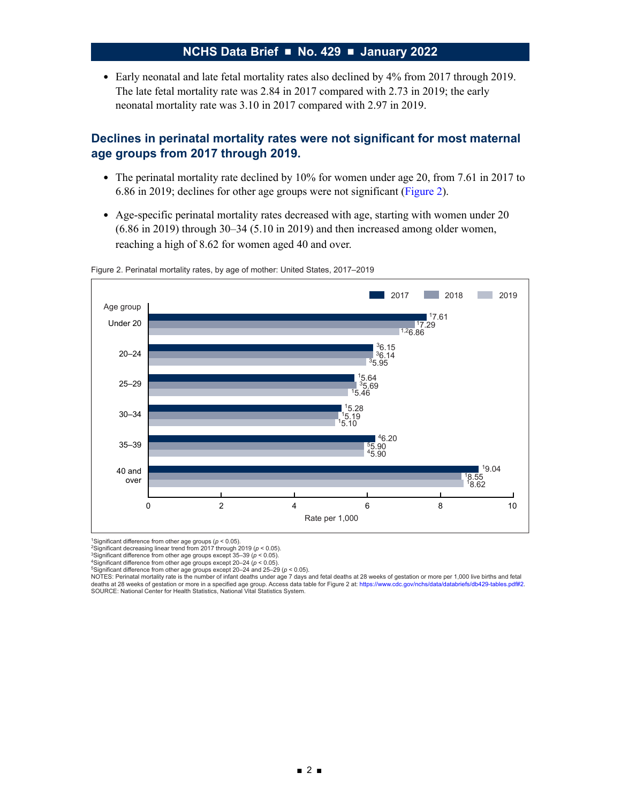• Early neonatal and late fetal mortality rates also declined by 4% from 2017 through 2019. The late fetal mortality rate was 2.84 in 2017 compared with 2.73 in 2019; the early neonatal mortality rate was 3.10 in 2017 compared with 2.97 in 2019.

### **Declines in perinatal mortality rates were not significant for most maternal age groups from 2017 through 2019.**

- The perinatal mortality rate declined by 10% for women under age 20, from 7.61 in 2017 to 6.86 in 2019; declines for other age groups were not significant (Figure 2).
- Age-specific perinatal mortality rates decreased with age, starting with women under 20 (6.86 in 2019) through 30–34 (5.10 in 2019) and then increased among older women, reaching a high of 8.62 for women aged 40 and over.



Figure 2. Perinatal mortality rates, by age of mother: United States, 2017–2019

<sup>1</sup>Significant difference from other age groups ( $p < 0.05$ ).<br>
<sup>2</sup>Significant decreasing linear trend from 2017 through 2019 ( $p < 0.05$ ).<br>
<sup>4</sup>Significant difference from other age groups except 20-24 ( $p < 0.05$ ).<br>
<sup>4</sup>Signi

NOTES: Perinatal mortality rate is the number of infant deaths under age 7 days and fetal deaths at 28 weeks of gestation or more per 1,000 live births and fetal<br>deaths at 28 weeks of gestation or more in a specified age g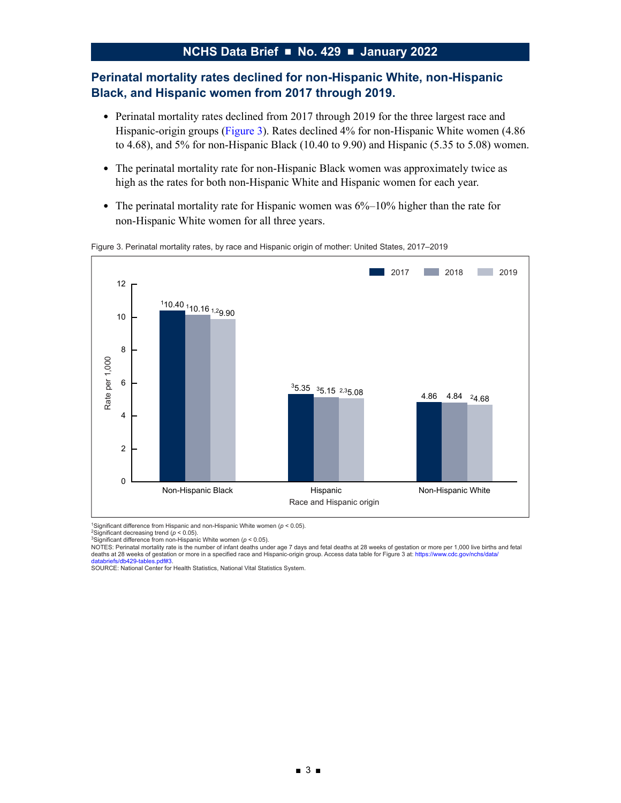## **Perinatal mortality rates declined for non-Hispanic White, non-Hispanic Black, and Hispanic women from 2017 through 2019.**

- Perinatal mortality rates declined from 2017 through 2019 for the three largest race and Hispanic-origin groups (Figure 3). Rates declined 4% for non-Hispanic White women (4.86 to 4.68), and 5% for non-Hispanic Black (10.40 to 9.90) and Hispanic (5.35 to 5.08) women.
- The perinatal mortality rate for non-Hispanic Black women was approximately twice as high as the rates for both non-Hispanic White and Hispanic women for each year.
- The perinatal mortality rate for Hispanic women was  $6\%$ –10% higher than the rate for non-Hispanic White women for all three years.



Figure 3. Perinatal mortality rates, by race and Hispanic origin of mother: United States, 2017–2019

1Significant difference from Hispanic and non-Hispanic White women (*p* < 0.05). 2Significant decreasing trend (*p* < 0.05).

<sup>3</sup>Significant difference from non-Hispanic White women (ρ < 0.05).<br>NOTES: Perinatal mortality rate is the number of infant deaths under age 7 days and fetal deaths at 28 weeks of gestation or more per 1,000 live births a deaths at 28 weeks of gestation or more in a specified race and Hispanic-origin group. Access data table for Figure 3 at: https://www.cdc.gov/nchs/data/

databriefs/db429-tables.pdf#3.<br>SOURCE: National Center for Health Statistics, National Vital Statistics System.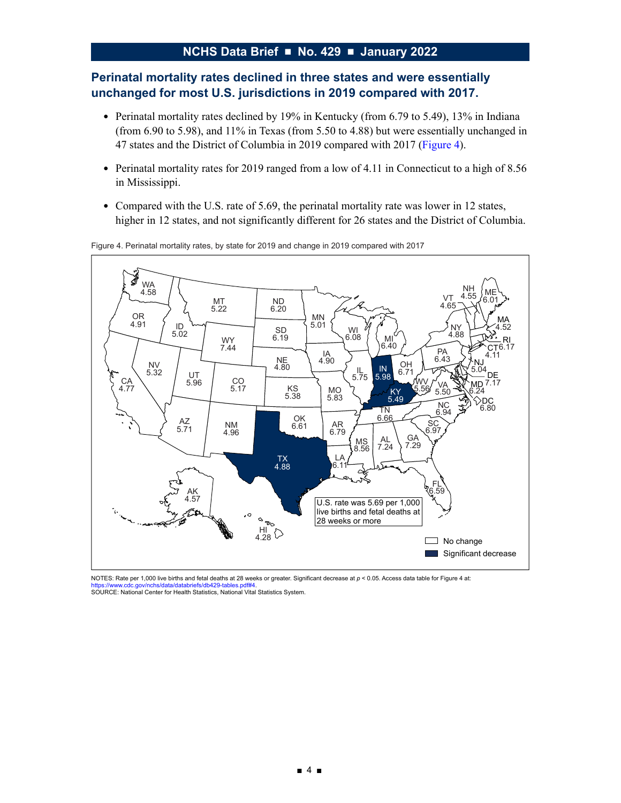# **Perinatal mortality rates declined in three states and were essentially unchanged for most U.S. jurisdictions in 2019 compared with 2017.**

- Perinatal mortality rates declined by 19% in Kentucky (from 6.79 to 5.49), 13% in Indiana (from 6.90 to 5.98), and 11% in Texas (from 5.50 to 4.88) but were essentially unchanged in 47 states and the District of Columbia in 2019 compared with 2017 (Figure 4).
- Perinatal mortality rates for 2019 ranged from a low of 4.11 in Connecticut to a high of 8.56 in Mississippi.
- Compared with the U.S. rate of 5.69, the perinatal mortality rate was lower in 12 states, higher in 12 states, and not significantly different for 26 states and the District of Columbia.



Figure 4. Perinatal mortality rates, by state for 2019 and change in 2019 compared with 2017

NOTES: Rate per 1,000 live births and fetal deaths at 28 weeks or greater. Significant decrease at *p* < 0.05. Access data table for Figure 4 at: https://www.cdc.gov/nchs/data/databriefs/db429-tables.ndf#4 **SOURCE:** National Center for Health Statistics, National Vital Statistics System.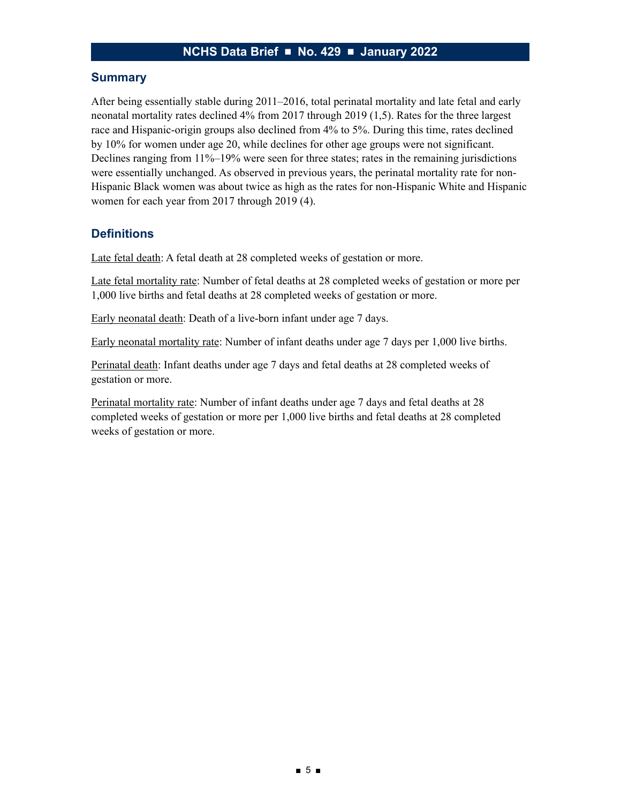### **Summary**

After being essentially stable during 2011–2016, total perinatal mortality and late fetal and early neonatal mortality rates declined 4% from 2017 through 2019 (1,5). Rates for the three largest race and Hispanic-origin groups also declined from 4% to 5%. During this time, rates declined by 10% for women under age 20, while declines for other age groups were not significant. Declines ranging from 11%–19% were seen for three states; rates in the remaining jurisdictions were essentially unchanged. As observed in previous years, the perinatal mortality rate for non-Hispanic Black women was about twice as high as the rates for non-Hispanic White and Hispanic women for each year from 2017 through 2019 (4).

# **Definitions**

Late fetal death: A fetal death at 28 completed weeks of gestation or more.

Late fetal mortality rate: Number of fetal deaths at 28 completed weeks of gestation or more per 1,000 live births and fetal deaths at 28 completed weeks of gestation or more.

Early neonatal death: Death of a live-born infant under age 7 days.

Early neonatal mortality rate: Number of infant deaths under age 7 days per 1,000 live births.

Perinatal death: Infant deaths under age 7 days and fetal deaths at 28 completed weeks of gestation or more.

Perinatal mortality rate: Number of infant deaths under age 7 days and fetal deaths at 28 completed weeks of gestation or more per 1,000 live births and fetal deaths at 28 completed weeks of gestation or more.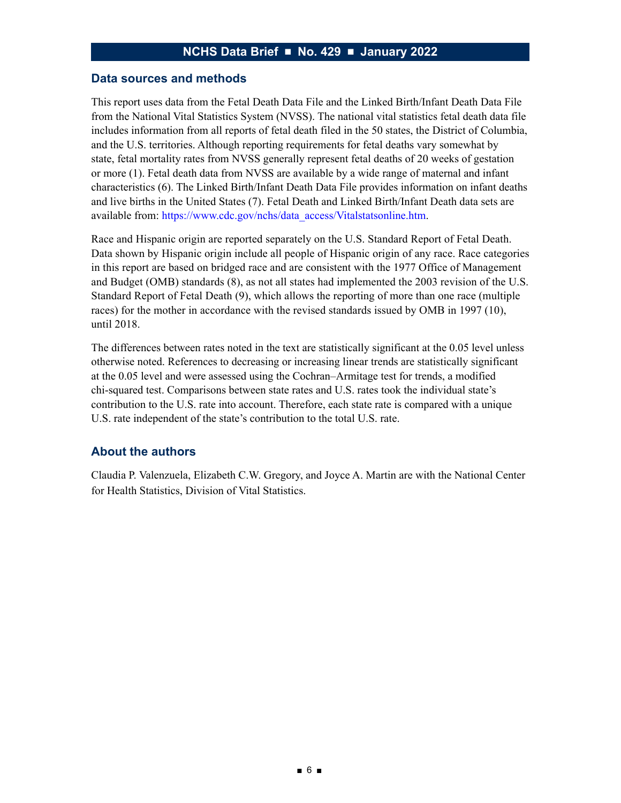#### **Data sources and methods**

This report uses data from the Fetal Death Data File and the Linked Birth/Infant Death Data File from the National Vital Statistics System (NVSS). The national vital statistics fetal death data file includes information from all reports of fetal death filed in the 50 states, the District of Columbia, and the U.S. territories. Although reporting requirements for fetal deaths vary somewhat by state, fetal mortality rates from NVSS generally represent fetal deaths of 20 weeks of gestation or more (1). Fetal death data from NVSS are available by a wide range of maternal and infant characteristics (6). The Linked Birth/Infant Death Data File provides information on infant deaths and live births in the United States (7). Fetal Death and Linked Birth/Infant Death data sets are available from: [https://www.cdc.gov/nchs/data\\_access/Vitalstatsonline.htm](https://www.cdc.gov/nchs/data_access/Vitalstatsonline.htm).

Race and Hispanic origin are reported separately on the U.S. Standard Report of Fetal Death. Data shown by Hispanic origin include all people of Hispanic origin of any race. Race categories in this report are based on bridged race and are consistent with the 1977 Office of Management and Budget (OMB) standards (8), as not all states had implemented the 2003 revision of the U.S. Standard Report of Fetal Death (9), which allows the reporting of more than one race (multiple races) for the mother in accordance with the revised standards issued by OMB in 1997 (10), until 2018.

The differences between rates noted in the text are statistically significant at the 0.05 level unless otherwise noted. References to decreasing or increasing linear trends are statistically significant at the 0.05 level and were assessed using the Cochran–Armitage test for trends, a modified chi-squared test. Comparisons between state rates and U.S. rates took the individual state's contribution to the U.S. rate into account. Therefore, each state rate is compared with a unique U.S. rate independent of the state's contribution to the total U.S. rate.

### **About the authors**

Claudia P. Valenzuela, Elizabeth C.W. Gregory, and Joyce A. Martin are with the National Center for Health Statistics, Division of Vital Statistics.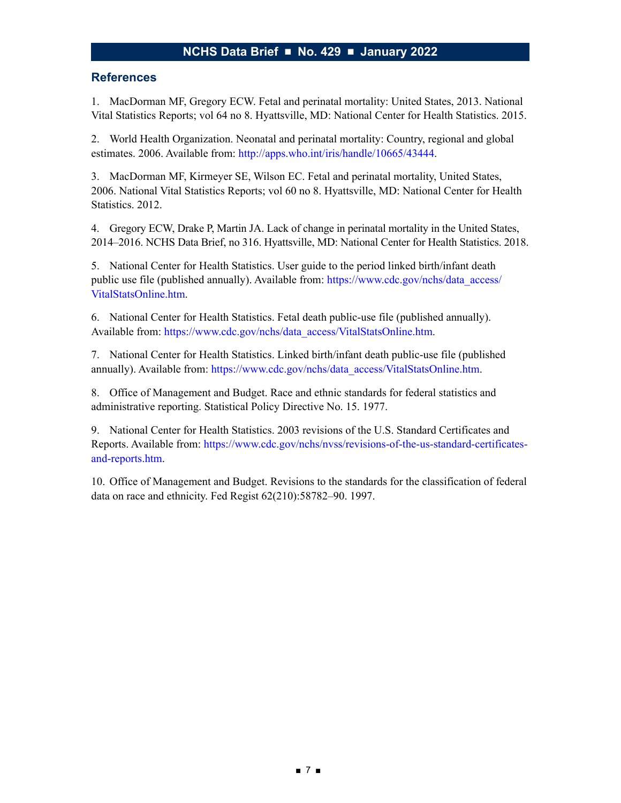### **References**

1. MacDorman MF, Gregory ECW. Fetal and perinatal mortality: United States, 2013. National Vital Statistics Reports; vol 64 no 8. Hyattsville, MD: National Center for Health Statistics. 2015.

2. World Health Organization. Neonatal and perinatal mortality: Country, regional and global estimates. 2006. Available from:<http://apps.who.int/iris/handle/10665/43444>.

3. MacDorman MF, Kirmeyer SE, Wilson EC. Fetal and perinatal mortality, United States, 2006. National Vital Statistics Reports; vol 60 no 8. Hyattsville, MD: National Center for Health Statistics. 2012.

4. Gregory ECW, Drake P, Martin JA. Lack of change in perinatal mortality in the United States, 2014–2016. NCHS Data Brief, no 316. Hyattsville, MD: National Center for Health Statistics. 2018.

5. National Center for Health Statistics. User guide to the period linked birth/infant death public use file (published annually). Available from: [https://www.cdc.gov/nchs/data\\_access/](https://www.cdc.gov/nchs/data_access/VitalStatsOnline.htm) [VitalStatsOnline.htm.](https://www.cdc.gov/nchs/data_access/VitalStatsOnline.htm)

6. National Center for Health Statistics. Fetal death public-use file (published annually). Available from: [https://www.cdc.gov/nchs/data\\_access/VitalStatsOnline.htm.](https://www.cdc.gov/nchs/data_access/VitalStatsOnline.htm)

7. National Center for Health Statistics. Linked birth/infant death public-use file (published annually). Available from: [https://www.cdc.gov/nchs/data\\_access/VitalStatsOnline.htm](https://www.cdc.gov/nchs/data_access/VitalStatsOnline.htm).

8. Office of Management and Budget. Race and ethnic standards for federal statistics and administrative reporting. Statistical Policy Directive No. 15. 1977.

9. National Center for Health Statistics. 2003 revisions of the U.S. Standard Certificates and Reports. Available from: [https://www.cdc.gov/nchs/nvss/revisions-of-the-us-standard-certificates](https://www.cdc.gov/nchs/nvss/revisions-of-the-us-standard-certificates-and-reports.htm)[and-reports.htm.](https://www.cdc.gov/nchs/nvss/revisions-of-the-us-standard-certificates-and-reports.htm)

10. Office of Management and Budget. Revisions to the standards for the classification of federal data on race and ethnicity. Fed Regist 62(210):58782–90. 1997.